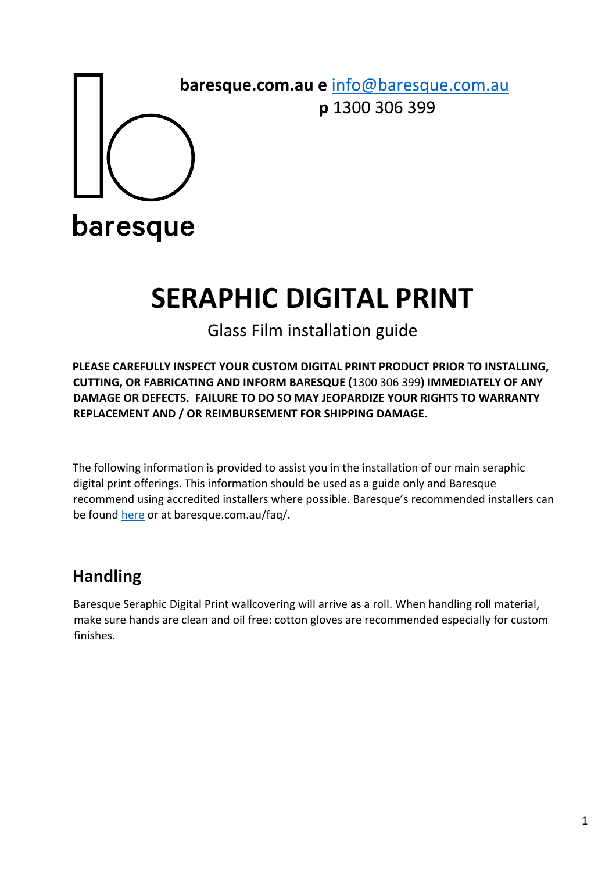

 **baresque.com.au e** info@baresque.com.au  **p** 1300 306 399

baresque

## **SERAPHIC DIGITAL PRINT**

## Glass Film installation guide

**PLEASE CAREFULLY INSPECT YOUR CUSTOM DIGITAL PRINT PRODUCT PRIOR TO INSTALLING, CUTTING, OR FABRICATING AND INFORM BARESQUE (**1300 306 399**) IMMEDIATELY OF ANY DAMAGE OR DEFECTS. FAILURE TO DO SO MAY JEOPARDIZE YOUR RIGHTS TO WARRANTY REPLACEMENT AND / OR REIMBURSEMENT FOR SHIPPING DAMAGE.** 

The following information is provided to assist you in the installation of our main seraphic digital print offerings. This information should be used as a guide only and Baresque recommend using accredited installers where possible. Baresque's recommended installers can be found here or at baresque.com.au/faq/.

## **Handling**

Baresque Seraphic Digital Print wallcovering will arrive as a roll. When handling roll material, make sure hands are clean and oil free: cotton gloves are recommended especially for custom finishes.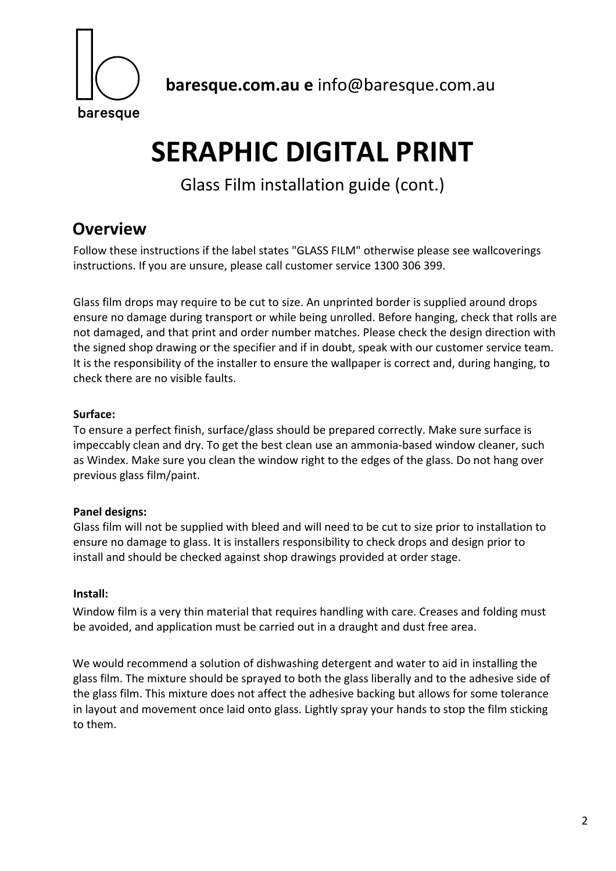

 **baresque.com.au e** info@baresque.com.au

# **SERAPHIC DIGITAL PRINT**

Glass Film installation guide (cont.)

### **Overview**

Follow these instructions if the label states "GLASS FILM" otherwise please see wallcoverings instructions. If you are unsure, please call customer service 1300 306 399.

Glass film drops may require to be cut to size. An unprinted border is supplied around drops ensure no damage during transport or while being unrolled. Before hanging, check that rolls are not damaged, and that print and order number matches. Please check the design direction with the signed shop drawing or the specifier and if in doubt, speak with our customer service team. It is the responsibility of the installer to ensure the wallpaper is correct and, during hanging, to check there are no visible faults.

#### **Surface:**

To ensure a perfect finish, surface/glass should be prepared correctly. Make sure surface is impeccably clean and dry. To get the best clean use an ammonia‐based window cleaner, such as Windex. Make sure you clean the window right to the edges of the glass. Do not hang over previous glass film/paint.

#### **Panel designs:**

Glass film will not be supplied with bleed and will need to be cut to size prior to installation to ensure no damage to glass. It is installers responsibility to check drops and design prior to install and should be checked against shop drawings provided at order stage.

#### **Install:**

Window film is a very thin material that requires handling with care. Creases and folding must be avoided, and application must be carried out in a draught and dust free area.

We would recommend a solution of dishwashing detergent and water to aid in installing the glass film. The mixture should be sprayed to both the glass liberally and to the adhesive side of the glass film. This mixture does not affect the adhesive backing but allows for some tolerance in layout and movement once laid onto glass. Lightly spray your hands to stop the film sticking to them.